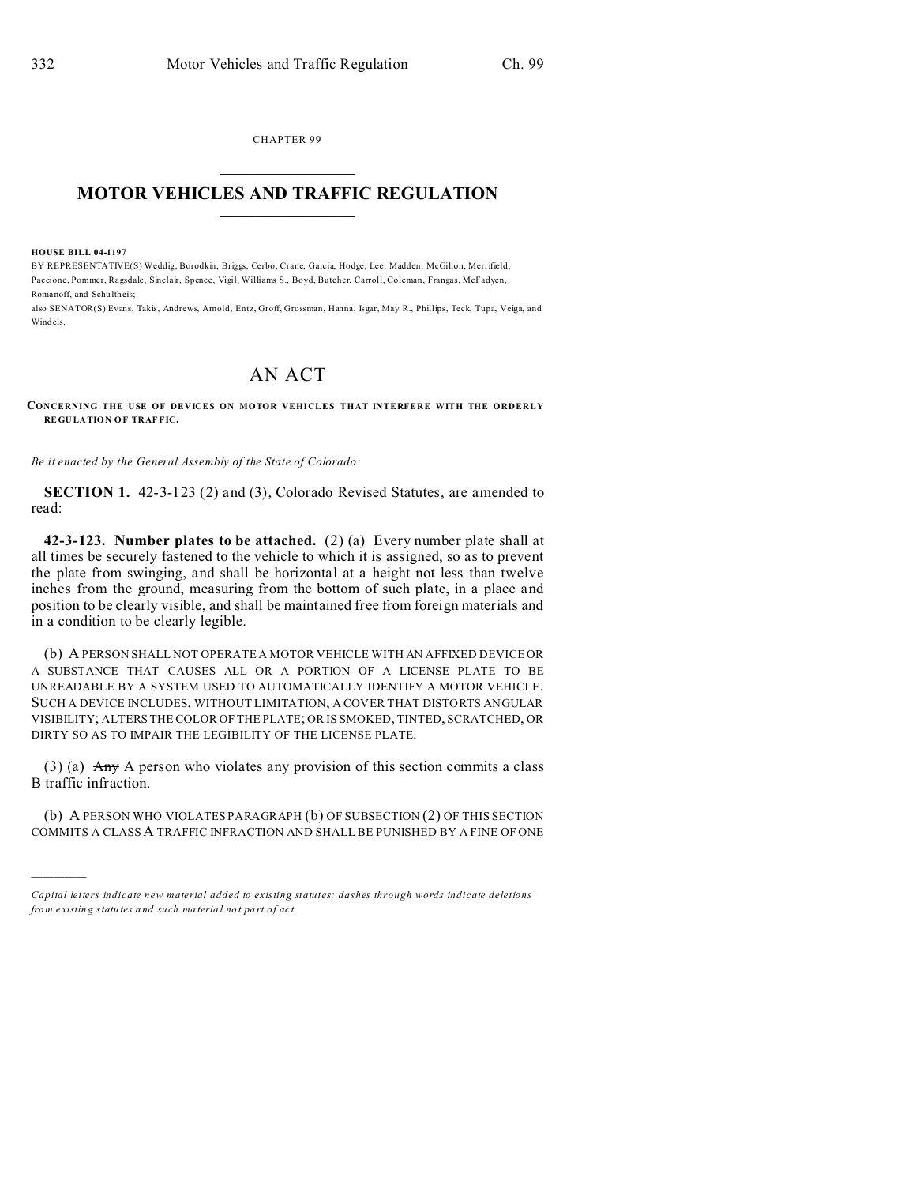CHAPTER 99  $\overline{\phantom{a}}$  , where  $\overline{\phantom{a}}$ 

## **MOTOR VEHICLES AND TRAFFIC REGULATION**  $\frac{1}{2}$  ,  $\frac{1}{2}$  ,  $\frac{1}{2}$  ,  $\frac{1}{2}$  ,  $\frac{1}{2}$  ,  $\frac{1}{2}$  ,  $\frac{1}{2}$

**HOUSE BILL 04-1197**

)))))

BY REPRESENTATIVE(S) Weddig, Borodkin, Briggs, Cerbo, Crane, Garcia, Hodge, Lee, Madden, McGihon, Merrifield, Paccione, Pommer, Ragsdale, Sinclair, Spence, Vigil, Williams S., Boyd, Butcher, Carroll, Coleman, Frangas, McFadyen, Romanoff, and Schu ltheis;

also SENATOR(S) Evans, Takis, Andrews, Arnold, Entz, Groff, Grossman, Hanna, Isgar, May R., Phillips, Teck, Tupa, Veiga, and Windels.

## AN ACT

## **CONCERNING THE USE OF DEVICES ON MOTOR VEHICLES THAT INTERFERE WITH THE ORDERLY REGU LA TION O F TRAF FIC.**

*Be it enacted by the General Assembly of the State of Colorado:*

**SECTION 1.** 42-3-123 (2) and (3), Colorado Revised Statutes, are amended to read:

**42-3-123. Number plates to be attached.** (2) (a) Every number plate shall at all times be securely fastened to the vehicle to which it is assigned, so as to prevent the plate from swinging, and shall be horizontal at a height not less than twelve inches from the ground, measuring from the bottom of such plate, in a place and position to be clearly visible, and shall be maintained free from foreign materials and in a condition to be clearly legible.

(b) A PERSON SHALL NOT OPERATE A MOTOR VEHICLE WITH AN AFFIXED DEVICE OR A SUBSTANCE THAT CAUSES ALL OR A PORTION OF A LICENSE PLATE TO BE UNREADABLE BY A SYSTEM USED TO AUTOMATICALLY IDENTIFY A MOTOR VEHICLE. SUCH A DEVICE INCLUDES, WITHOUT LIMITATION, A COVER THAT DISTORTS ANGULAR VISIBILITY; ALTERS THE COLOR OF THE PLATE; OR IS SMOKED, TINTED, SCRATCHED, OR DIRTY SO AS TO IMPAIR THE LEGIBILITY OF THE LICENSE PLATE.

(3) (a)  $\overrightarrow{Any}$  A person who violates any provision of this section commits a class B traffic infraction.

(b) A PERSON WHO VIOLATES PARAGRAPH (b) OF SUBSECTION (2) OF THIS SECTION COMMITS A CLASSA TRAFFIC INFRACTION AND SHALL BE PUNISHED BY A FINE OF ONE

*Capital letters indicate new material added to existing statutes; dashes through words indicate deletions from e xistin g statu tes a nd such ma teria l no t pa rt of ac t.*